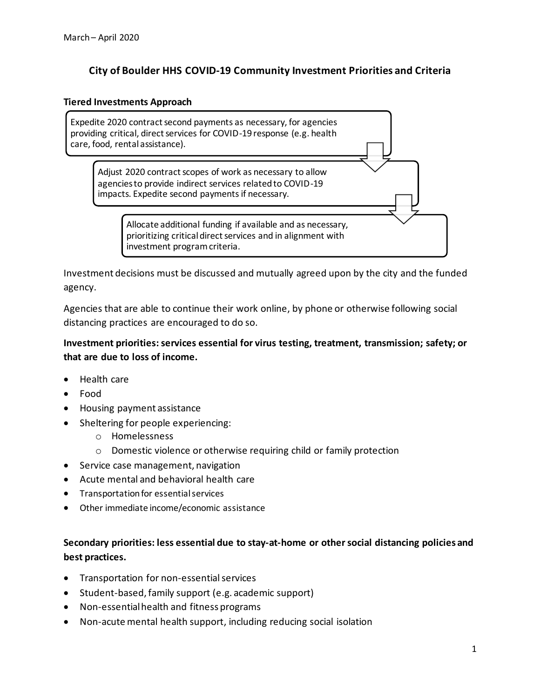# **City of Boulder HHS COVID-19 Community Investment Priorities and Criteria**

#### **Tiered Investments Approach**

Expedite 2020 contract second payments as necessary, for agencies providing critical, direct services for COVID-19 response (e.g. health care, food, rental assistance).

Adjust 2020 contract scopes of work as necessary to allow agencies to provide indirect services related to COVID-19 impacts. Expedite second payments if necessary.

> Allocate additional funding if available and as necessary, prioritizing critical direct services and in alignment with investment program criteria.

Investment decisions must be discussed and mutually agreed upon by the city and the funded agency.

Agencies that are able to continue their work online, by phone or otherwise following social distancing practices are encouraged to do so.

## **Investment priorities: services essential for virus testing, treatment, transmission; safety; or that are due to loss of income.**

- Health care
- Food
- Housing payment assistance
- Sheltering for people experiencing:
	- o Homelessness
	- o Domestic violence or otherwise requiring child or family protection
- Service case management, navigation
- Acute mental and behavioral health care
- Transportation for essential services
- Other immediate income/economic assistance

# **Secondary priorities: less essential due to stay-at-home or other social distancing policies and best practices.**

- Transportation for non-essential services
- Student-based, family support (e.g. academic support)
- Non-essential health and fitness programs
- Non-acute mental health support, including reducing social isolation